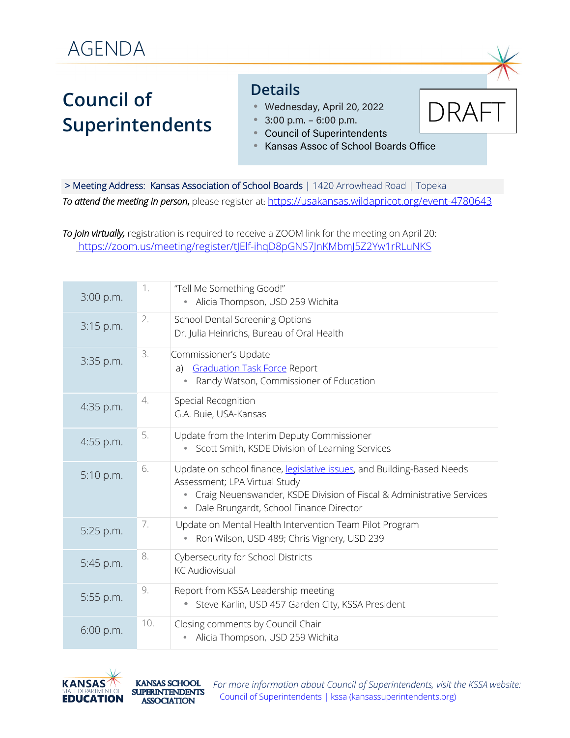## **Council of Superintendents**

## **Details**

- Wednesday, April 20, 2022
- 3:00 p.m. 6:00 p.m.
- Council of Superintendents
- Kansas Assoc of School Boards Office

> Meeting Address: Kansas Association of School Boards | 1420 Arrowhead Road | Topeka *To attend the meeting in person*, please register at: https://usakansas.wildapricot.org/event-4780643

*To join virtually,* registration is required to receive a ZOOM link for the meeting on April 20: https://zoom.us/meeting/register/tJElf-ihqD8pGNS7JnKMbmJ5Z2Yw1rRLuNKS

| 3:00 p.m. | 1.  | "Tell Me Something Good!"<br>Alicia Thompson, USD 259 Wichita<br>۰                                                                                                                                                               |
|-----------|-----|----------------------------------------------------------------------------------------------------------------------------------------------------------------------------------------------------------------------------------|
| 3:15 p.m. | 2.  | <b>School Dental Screening Options</b><br>Dr. Julia Heinrichs, Bureau of Oral Health                                                                                                                                             |
| 3:35 p.m. | 3.  | Commissioner's Update<br><b>Graduation Task Force Report</b><br>a)<br>Randy Watson, Commissioner of Education                                                                                                                    |
| 4:35 p.m. | 4.  | Special Recognition<br>G.A. Buie, USA-Kansas                                                                                                                                                                                     |
| 4:55 p.m. | 5.  | Update from the Interim Deputy Commissioner<br>Scott Smith, KSDE Division of Learning Services<br>٠                                                                                                                              |
| 5:10 p.m. | 6.  | Update on school finance, legislative issues, and Building-Based Needs<br>Assessment; LPA Virtual Study<br>Craig Neuenswander, KSDE Division of Fiscal & Administrative Services<br>Dale Brungardt, School Finance Director<br>۰ |
| 5:25 p.m. | 7.  | Update on Mental Health Intervention Team Pilot Program<br>Ron Wilson, USD 489; Chris Vignery, USD 239                                                                                                                           |
| 5:45 p.m. | 8.  | Cybersecurity for School Districts<br><b>KC Audiovisual</b>                                                                                                                                                                      |
| 5:55 p.m. | 9.  | Report from KSSA Leadership meeting<br>Steve Karlin, USD 457 Garden City, KSSA President                                                                                                                                         |
| 6:00 p.m. | 10. | Closing comments by Council Chair<br>Alicia Thompson, USD 259 Wichita                                                                                                                                                            |



For more information about Council of Superintendents, visit the KSSA website: Council of Superintendents | kssa (kansassuperintendents.org)